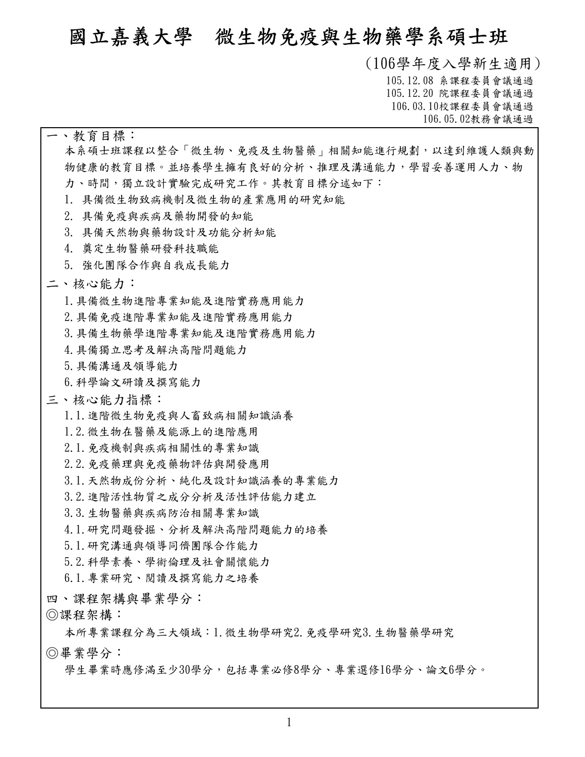# **國立嘉義大學 微生物免疫與生物藥學系碩士班**

**(106學年度入學新生適用) 105.12.08 系課程委員會議通過 105.12.20 院課程委員會議通過 106.03.10校課程委員會議通過 106.05.02教務會議通過**

#### **一、教育目標:**

**本系碩士班課程以整合「微生物、免疫及生物醫藥」相關知能進行規劃,以達到維護人類與動 物健康的教育目標。並培養學生擁有良好的分析、推理及溝通能力,學習妥善運用人力、物 力、時間,獨立設計實驗完成研究工作。其教育目標分述如下:**

- **1. 具備微生物致病機制及微生物的產業應用的研究知能**
- **2. 具備免疫與疾病及藥物開發的知能**
- **3. 具備天然物與藥物設計及功能分析知能**
- **4. 奠定生物醫藥研發科技職能**
- **5. 強化團隊合作與自我成長能力**

#### **二、核心能力:**

- **1.具備微生物進階專業知能及進階實務應用能力**
- **2.具備免疫進階專業知能及進階實務應用能力**
- **3.具備生物藥學進階專業知能及進階實務應用能力**
- **4.具備獨立思考及解決高階問題能力**
- **5.具備溝通及領導能力**
- **6.科學論文研讀及撰寫能力**

#### **三、核心能力指標:**

- **1.1.進階微生物免疫與人畜致病相關知識涵養**
- **1.2.微生物在醫藥及能源上的進階應用**
- **2.1.免疫機制與疾病相關性的專業知識**
- **2.2.免疫藥理與免疫藥物評估與開發應用**
- **3.1.天然物成份分析、純化及設計知識涵養的專業能力**
- **3.2.進階活性物質之成分分析及活性評估能力建立**
- **3.3.生物醫藥與疾病防治相關專業知識**
- **4.1.研究問題發掘、分析及解決高階問題能力的培養**
- **5.1.研究溝通與領導同儕團隊合作能力**
- **5.2.科學素養、學術倫理及社會關懷能力**
- **6.1.專業研究、閱讀及撰寫能力之培養**
- 
- 

四丶課程架構與畢業學分:<br>◎課程架構:<br>本所專業課程分為三大領域:1. 微生物學研究2. 免疫學研究3. 生物醫藥學研究

**學生畢業時應修滿至少30學分,包括專業必修8學分、專業選修16學分、論文6學分。 ◎畢業學分:**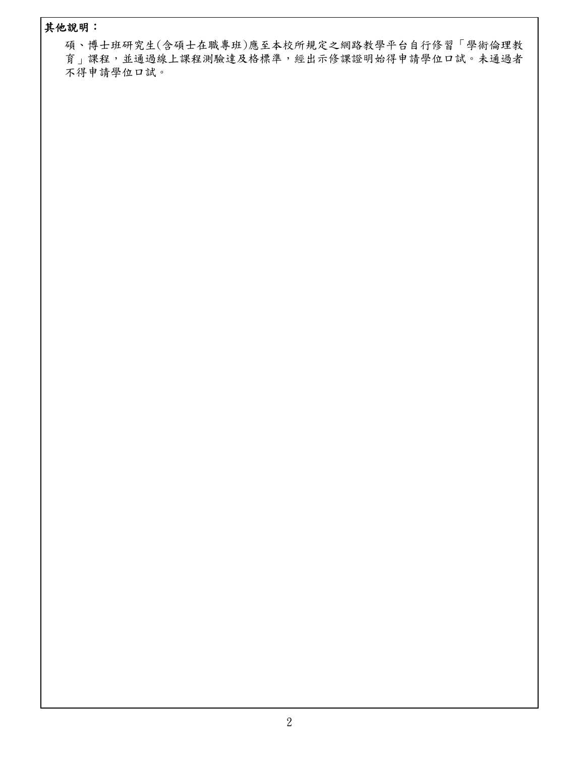### **其他說明:**

**碩、博士班研究生(含碩士在職專班)應至本校所規定之網路教學平台自行修習「學術倫理教 育」課程,並通過線上課程測驗達及格標準,經出示修課證明始得申請學位口試。未通過者 不得申請學位口試。**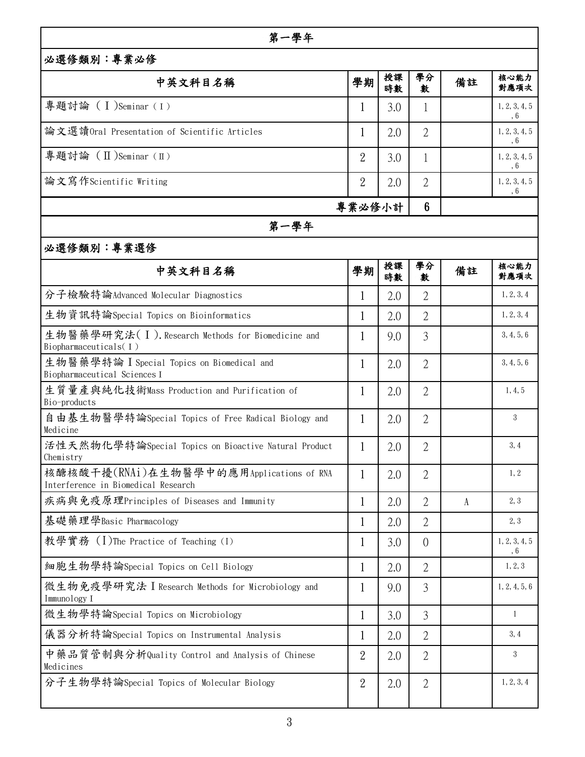| 第一學年                                                                            |                |          |                |           |                             |  |  |  |
|---------------------------------------------------------------------------------|----------------|----------|----------------|-----------|-----------------------------|--|--|--|
| 必選修類別:專業必修                                                                      |                |          |                |           |                             |  |  |  |
| 中英文科目名稱                                                                         | 學期             | 授課<br>時數 | 學分<br>數        | 備註        | 核心能力<br>對應項次                |  |  |  |
| 專題討論 (I)Seminar (I)                                                             |                | 3.0      | 1              |           | 1, 2, 3, 4, 5<br>$\,$ , $6$ |  |  |  |
| 論文選讀Oral Presentation of Scientific Articles                                    | $\perp$        | 2.0      | $\overline{2}$ |           | 1, 2, 3, 4, 5<br>, 6        |  |  |  |
| 專題討論 (Ⅱ)Seminar (Ⅱ)                                                             | $\overline{2}$ | 3.0      | 1              |           | 1, 2, 3, 4, 5<br>$, 6$      |  |  |  |
| 論文寫作Scientific Writing                                                          | $\overline{2}$ | 2.0      | $\overline{2}$ |           | 1, 2, 3, 4, 5<br>$\,$ , $6$ |  |  |  |
| 專業必修小計                                                                          |                |          |                |           |                             |  |  |  |
| 第一學年                                                                            |                |          |                |           |                             |  |  |  |
| 必選修類別:專業選修                                                                      |                |          |                |           |                             |  |  |  |
| 中英文科目名稱                                                                         | 學期             | 授課<br>時數 | 學分<br>數        | 備註        | 核心能力<br>對應項次                |  |  |  |
| 分子檢驗特論Advanced Molecular Diagnostics                                            | $\mathbf{1}$   | 2.0      | $\overline{2}$ |           | 1, 2, 3, 4                  |  |  |  |
| 生物資訊特論Special Topics on Bioinformatics                                          | 1              | 2.0      | $\overline{2}$ |           | 1, 2, 3, 4                  |  |  |  |
| 生物醫藥學研究法(I). Research Methods for Biomedicine and<br>Biopharmaceuticals(I)      |                | 9.0      | $\overline{3}$ |           | 3, 4, 5, 6                  |  |  |  |
| 生物醫藥學特論 I Special Topics on Biomedical and<br>Biopharmaceutical Sciences I      | 1              | 2.0      | $\overline{2}$ |           | 3, 4, 5, 6                  |  |  |  |
| 生質量產與純化技術Mass Production and Purification of<br>Bio-products                    | 1              | 2.0      | $\overline{2}$ |           | 1, 4, 5                     |  |  |  |
| 自由基生物醫學特論Special Topics of Free Radical Biology and<br>Medicine                 | 1              | 2.0      | $\overline{2}$ |           | 3                           |  |  |  |
| 活性天然物化學特論Special Topics on Bioactive Natural Product<br>Chemistry               |                | 2.0      | $\overline{2}$ |           | 3, 4                        |  |  |  |
| 核醣核酸干擾(RNAi)在生物醫學中的應用Applications of RNA<br>Interference in Biomedical Research | 1              | 2.0      | $\overline{2}$ |           | 1, 2                        |  |  |  |
| 疾病與免疫原理Principles of Diseases and Immunity                                      | $\mathbf{1}$   | 2.0      | $\overline{2}$ | $\Lambda$ | 2, 3                        |  |  |  |
| 基礎藥理學Basic Pharmacology                                                         | 1              | 2.0      | $\overline{2}$ |           | 2, 3                        |  |  |  |
| 教學實務 (I)The Practice of Teaching (I)                                            | 1              | 3.0      | $\overline{0}$ |           | 1, 2, 3, 4, 5<br>, 6        |  |  |  |
| 細胞生物學特論Special Topics on Cell Biology                                           |                | 2.0      | 2              |           | 1, 2, 3                     |  |  |  |
| 微生物免疫學研究法 I Research Methods for Microbiology and<br>Immunology I               | 1              | 9.0      | 3              |           | 1, 2, 4, 5, 6               |  |  |  |
| 微生物學特論Special Topics on Microbiology                                            | $\mathbf 1$    | 3.0      | 3              |           | -1                          |  |  |  |
| 儀器分析特論Special Topics on Instrumental Analysis                                   |                | 2.0      | 2              |           | 3,4                         |  |  |  |
| 中藥品質管制與分析Quality Control and Analysis of Chinese<br>Medicines                   | $\overline{2}$ | 2.0      | $\overline{2}$ |           | 3                           |  |  |  |
| 分子生物學特論Special Topics of Molecular Biology                                      | 2              | 2.0      | 2              |           | 1, 2, 3, 4                  |  |  |  |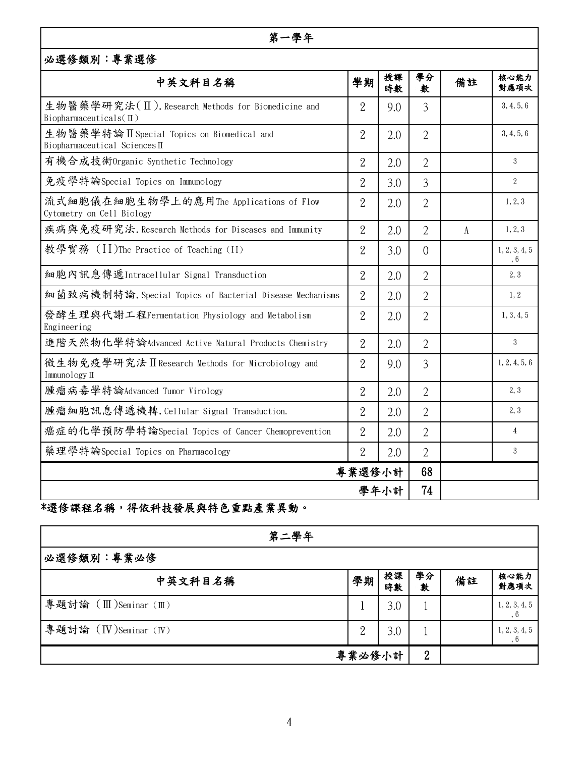#### **第一學年**

| 必選修類別:專業選修                                                                        |                |          |                |    |                             |  |  |
|-----------------------------------------------------------------------------------|----------------|----------|----------------|----|-----------------------------|--|--|
| 中英文科目名稱                                                                           | 學期             | 授課<br>時數 | 學分<br>數        | 備註 | 核心能力<br>對應項次                |  |  |
| 生物醫藥學研究法(II). Research Methods for Biomedicine and<br>Biopharmaceuticals( $\Pi$ ) | $\overline{2}$ | 9.0      | 3              |    | 3, 4, 5, 6                  |  |  |
| 生物醫藥學特論 II Special Topics on Biomedical and<br>Biopharmaceutical Sciences II      | $\overline{2}$ | 2.0      | $\overline{2}$ |    | 3, 4, 5, 6                  |  |  |
| 有機合成技術Organic Synthetic Technology                                                | $\overline{2}$ | 2.0      | $\overline{2}$ |    | 3                           |  |  |
| 免疫學特論Special Topics on Immunology                                                 | $\overline{2}$ | 3.0      | 3              |    | 2                           |  |  |
| 流式細胞儀在細胞生物學上的應用The Applications of Flow<br>Cytometry on Cell Biology              | $\overline{2}$ | 2.0      | $\overline{2}$ |    | 1, 2, 3                     |  |  |
| 疾病與免疫研究法. Research Methods for Diseases and Immunity                              | $\overline{2}$ | 2.0      | $\overline{2}$ | A  | 1, 2, 3                     |  |  |
| 教學實務 (II)The Practice of Teaching (II)                                            | $\overline{2}$ | 3.0      | $\Omega$       |    | 1, 2, 3, 4, 5<br>$\,$ , $6$ |  |  |
| 細胞內訊息傳遞Intracellular Signal Transduction                                          | $\overline{2}$ | 2.0      | $\overline{2}$ |    | 2, 3                        |  |  |
| 細菌致病機制特論. Special Topics of Bacterial Disease Mechanisms                          | $\overline{2}$ | 2.0      | $\overline{2}$ |    | 1.2                         |  |  |
| 發酵生理與代謝工程Fermentation Physiology and Metabolism<br>Engineering                    | $\overline{2}$ | 2.0      | $\overline{2}$ |    | 1, 3, 4, 5                  |  |  |
| 進階天然物化學特論Advanced Active Natural Products Chemistry                               | $\overline{2}$ | 2.0      | $\overline{2}$ |    | $\mathbf{3}$                |  |  |
| 微生物免疫學研究法 II Research Methods for Microbiology and<br>Immunology II               | $\overline{2}$ | 9.0      | $\overline{3}$ |    | 1, 2, 4, 5, 6               |  |  |
| 腫瘤病毒學特論Advanced Tumor Virology                                                    | $\overline{2}$ | 2.0      | $\overline{2}$ |    | 2, 3                        |  |  |
| 腫瘤細胞訊息傳遞機轉. Cellular Signal Transduction.                                         | $\overline{2}$ | 2.0      | $\overline{2}$ |    | 2, 3                        |  |  |
| 癌症的化學預防學特論Special Topics of Cancer Chemoprevention                                | $\overline{2}$ | 2.0      | $\overline{2}$ |    | $\overline{4}$              |  |  |
| 藥理學特論Special Topics on Pharmacology                                               | $\overline{2}$ | 2.0      | $\overline{2}$ |    | 3                           |  |  |
| 專業選修小計                                                                            |                | 68<br>74 |                |    |                             |  |  |
| 學年小計                                                                              |                |          |                |    |                             |  |  |

# **\*選修課程名稱,得依科技發展與特色重點產業異動。**

| 第二學年                  |                |          |                |    |                      |  |  |  |
|-----------------------|----------------|----------|----------------|----|----------------------|--|--|--|
| 必選修類別:專業必修            |                |          |                |    |                      |  |  |  |
| 中英文科目名稱               | 學期             | 授課<br>時數 | 學分<br>數        | 備註 | 核心能力<br>對應項次         |  |  |  |
| 專題討論 (Ⅲ)Seminar (Ⅲ)   |                | 3.0      |                |    | 1, 2, 3, 4, 5<br>, 6 |  |  |  |
| 專題討論 (IV)Seminar (IV) | $\overline{a}$ | 3.0      |                |    | 1, 2, 3, 4, 5<br>, 6 |  |  |  |
|                       | 專業必修小計         |          | $\overline{2}$ |    |                      |  |  |  |